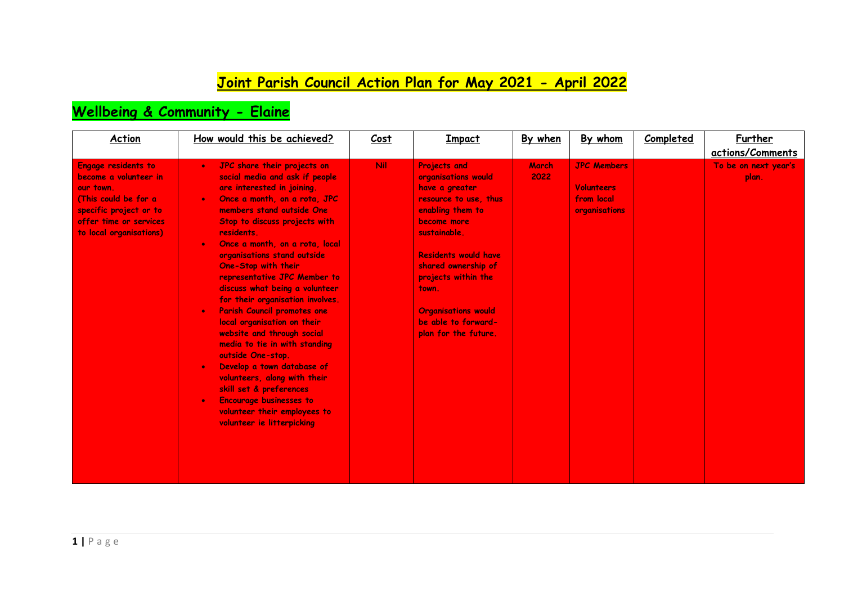### **Joint Parish Council Action Plan for May 2021 - April 2022**

#### **Wellbeing & Community - Elaine**

| <b>Action</b>                                                                                                                                                    | How would this be achieved?                                                                                                                                                                                                                                                                                                                                                                                                                                                                                                                                                                                                                                                                                                                                                                                                    | Cost       | <b>Impact</b>                                                                                                                                                                                                                                                                                               | By when       | By whom                                                                | Completed | <b>Further</b><br>actions/Comments |
|------------------------------------------------------------------------------------------------------------------------------------------------------------------|--------------------------------------------------------------------------------------------------------------------------------------------------------------------------------------------------------------------------------------------------------------------------------------------------------------------------------------------------------------------------------------------------------------------------------------------------------------------------------------------------------------------------------------------------------------------------------------------------------------------------------------------------------------------------------------------------------------------------------------------------------------------------------------------------------------------------------|------------|-------------------------------------------------------------------------------------------------------------------------------------------------------------------------------------------------------------------------------------------------------------------------------------------------------------|---------------|------------------------------------------------------------------------|-----------|------------------------------------|
| Engage residents to<br>become a volunteer in<br>our town.<br>(This could be for a<br>specific project or to<br>offer time or services<br>to local organisations) | JPC share their projects on<br>$\bullet$<br>social media and ask if people<br>are interested in joining.<br>Once a month, on a rota, JPC<br>$\bullet$<br>members stand outside One<br>Stop to discuss projects with<br>residents.<br>Once a month, on a rota, local<br>$\bullet$<br>organisations stand outside<br>One-Stop with their<br>representative JPC Member to<br>discuss what being a volunteer<br>for their organisation involves.<br>Parish Council promotes one<br>$\bullet$<br>local organisation on their<br>website and through social<br>media to tie in with standing<br>outside One-stop.<br>Develop a town database of<br>$\bullet$<br>volunteers, along with their<br>skill set & preferences<br><b>Encourage businesses to</b><br>$\bullet$<br>volunteer their employees to<br>volunteer ie litterpicking | <b>Nil</b> | <b>Projects and</b><br>organisations would<br>have a greater<br>resource to use, thus<br>enabling them to<br>become more<br>sustainable.<br><b>Residents would have</b><br>shared ownership of<br>projects within the<br>town.<br><b>Organisations would</b><br>be able to forward-<br>plan for the future. | March<br>2022 | <b>JPC Members</b><br><b>Volunteers</b><br>from local<br>organisations |           | To be on next year's<br>plan.      |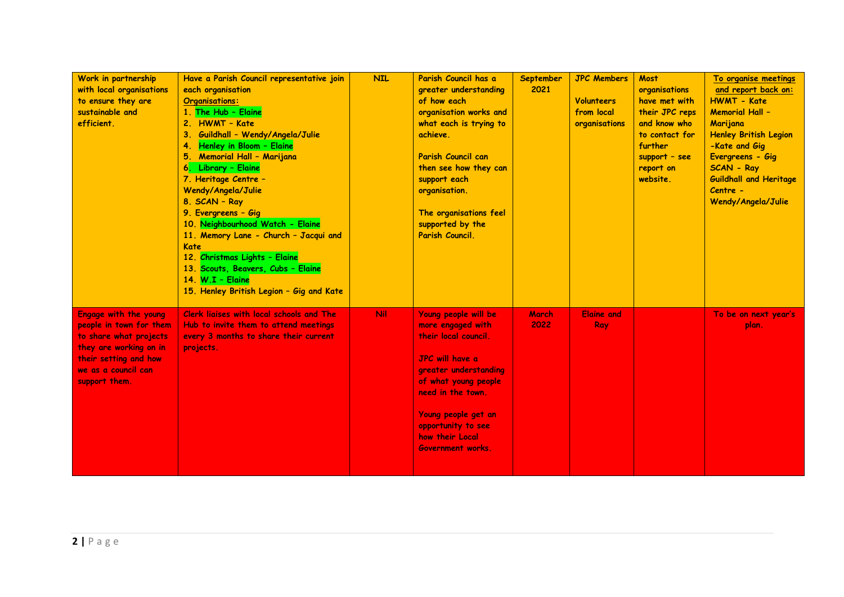| Work in partnership<br>with local organisations<br>to ensure they are<br>sustainable and<br>efficient.                                                                | Have a Parish Council representative join<br>each organisation<br><b>Organisations:</b><br>1. The Hub - Elaine<br>2. HWMT - Kate<br>Guildhall - Wendy/Angela/Julie<br>З.<br>Henley in Bloom - Elaine<br>4.<br><b>Memorial Hall - Marijana</b><br>6. Library - Elaine<br>7. Heritage Centre -<br>Wendy/Angela/Julie<br>8. SCAN - Ray<br>9. Evergreens - Gig<br>10. Neighbourhood Watch - Elaine<br>11. Memory Lane - Church - Jacqui and<br><b>Kate</b><br>12. Christmas Lights - Elaine<br>13. Scouts, Beavers, Cubs - Elaine<br>14. $W.I -$ Elaine<br>15. Henley British Legion - Gig and Kate | <b>NIL</b> | Parish Council has a<br>greater understanding<br>of how each<br>organisation works and<br>what each is trying to<br>achieve.<br>Parish Council can<br>then see how they can<br>support each<br>organisation.<br>The organisations feel<br>supported by the<br>Parish Council. | September<br>2021 | <b>JPC Members</b><br><b>Volunteers</b><br>from local<br>organisations | <b>Most</b><br>organisations<br>have met with<br>their JPC reps<br>and know who<br>to contact for<br>further<br>support - see<br>report on<br>website. | To organise meetings<br>and report back on:<br><b>HWMT - Kate</b><br><b>Memorial Hall -</b><br>Marijana<br><b>Henley British Legion</b><br>-Kate and Gig<br>Evergreens - Gig<br><b>SCAN - Ray</b><br><b>Guildhall and Heritage</b><br>Centre -<br>Wendy/Angela/Julie |
|-----------------------------------------------------------------------------------------------------------------------------------------------------------------------|-------------------------------------------------------------------------------------------------------------------------------------------------------------------------------------------------------------------------------------------------------------------------------------------------------------------------------------------------------------------------------------------------------------------------------------------------------------------------------------------------------------------------------------------------------------------------------------------------|------------|-------------------------------------------------------------------------------------------------------------------------------------------------------------------------------------------------------------------------------------------------------------------------------|-------------------|------------------------------------------------------------------------|--------------------------------------------------------------------------------------------------------------------------------------------------------|----------------------------------------------------------------------------------------------------------------------------------------------------------------------------------------------------------------------------------------------------------------------|
| Engage with the young<br>people in town for them<br>to share what projects<br>they are working on in<br>their setting and how<br>we as a council can<br>support them. | Clerk ligises with local schools and The<br>Hub to invite them to attend meetings<br>every 3 months to share their current<br>projects.                                                                                                                                                                                                                                                                                                                                                                                                                                                         | Nil        | Young people will be<br>more engaged with<br>their local council.<br><b>JPC</b> will have a<br>greater understanding<br>of what young people<br>need in the town.<br>Young people get an<br>opportunity to see<br>how their Local<br><b>Government works.</b>                 | March<br>2022     | <b>Elaine and</b><br>Ray                                               |                                                                                                                                                        | To be on next year's<br>plan.                                                                                                                                                                                                                                        |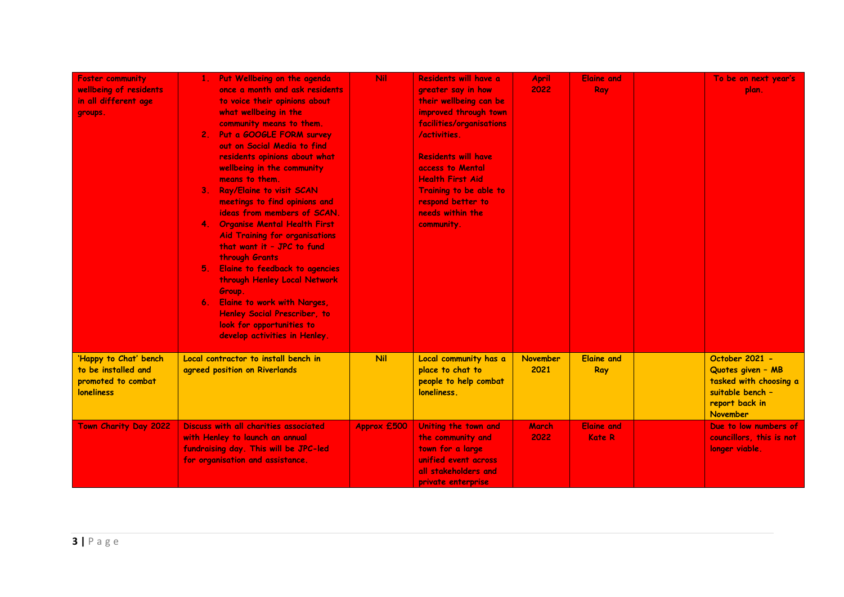| <b>Foster community</b><br>wellbeing of residents<br>in all different age<br>groups.    | Put Wellbeing on the agenda<br>once a month and ask residents<br>to voice their opinions about<br>what wellbeing in the<br>community means to them.<br>2. Put a GOOGLE FORM survey<br>out on Social Media to find<br>residents opinions about what<br>wellbeing in the community<br>means to them.<br>3. Ray/Elaine to visit SCAN<br>meetings to find opinions and<br>ideas from members of SCAN.<br>4. Organise Mental Health First<br><b>Aid Training for organisations</b><br>that want it - JPC to fund<br>through Grants<br>Elaine to feedback to agencies<br>5.<br>through Henley Local Network<br>Group.<br>6. Elaine to work with Narges,<br><b>Henley Social Prescriber, to</b><br>look for opportunities to<br>develop activities in Henley. | <b>Nil</b>  | Residents will have a<br>greater say in how<br>their wellbeing can be<br>improved through town<br>facilities/organisations<br>/activities.<br><b>Residents will have</b><br>access to Mental<br><b>Health First Aid</b><br>Training to be able to<br>respond better to<br>needs within the<br>community. | <b>April</b><br>2022    | <b>Elgine and</b><br>Ray           | To be on next year's<br>plan.                                                                                   |
|-----------------------------------------------------------------------------------------|--------------------------------------------------------------------------------------------------------------------------------------------------------------------------------------------------------------------------------------------------------------------------------------------------------------------------------------------------------------------------------------------------------------------------------------------------------------------------------------------------------------------------------------------------------------------------------------------------------------------------------------------------------------------------------------------------------------------------------------------------------|-------------|----------------------------------------------------------------------------------------------------------------------------------------------------------------------------------------------------------------------------------------------------------------------------------------------------------|-------------------------|------------------------------------|-----------------------------------------------------------------------------------------------------------------|
| 'Happy to Chat' bench<br>to be installed and<br>promoted to combat<br><b>loneliness</b> | Local contractor to install bench in<br>agreed position on Riverlands                                                                                                                                                                                                                                                                                                                                                                                                                                                                                                                                                                                                                                                                                  | <b>Nil</b>  | Local community has a<br>place to chat to<br>people to help combat<br>loneliness.                                                                                                                                                                                                                        | <b>November</b><br>2021 | <b>Elaine and</b><br>Ray           | October 2021 -<br>Quotes given - MB<br>tasked with choosing a<br>suitable bench -<br>report back in<br>November |
| Town Charity Day 2022                                                                   | Discuss with all charities associated<br>with Henley to launch an annual<br>fundraising day. This will be JPC-led<br>for organisation and assistance.                                                                                                                                                                                                                                                                                                                                                                                                                                                                                                                                                                                                  | Approx £500 | Uniting the town and<br>the community and<br>town for a large<br>unified event across<br>all stakeholders and<br>private enterprise                                                                                                                                                                      | March<br>2022           | <b>Elaine and</b><br><b>Kate R</b> | Due to low numbers of<br>councillors, this is not<br>longer viable.                                             |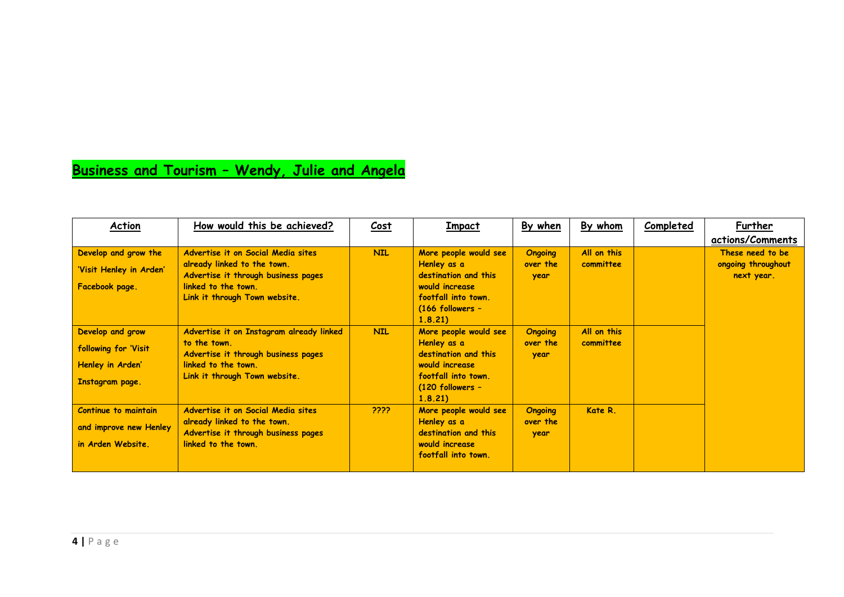## **Business and Tourism – Wendy, Julie and Angela**

| Action                  | How would this be achieved?                                        | <u>Cost</u> | <b>Impact</b>                                                           | By when          | By whom     | <b>Completed</b> | Further                          |
|-------------------------|--------------------------------------------------------------------|-------------|-------------------------------------------------------------------------|------------------|-------------|------------------|----------------------------------|
|                         |                                                                    |             |                                                                         |                  |             |                  | actions/Comments                 |
| Develop and grow the    | Advertise it on Social Media sites                                 | <b>NIL</b>  | More people would see                                                   | <b>Ongoing</b>   | All on this |                  | These need to be                 |
| 'Visit Henley in Arden' | already linked to the town.<br>Advertise it through business pages |             | Henley as a<br>destination and this                                     | over the<br>year | committee   |                  | ongoing throughout<br>next year. |
| Facebook page.          | linked to the town.<br>Link it through Town website.               |             | would increase<br>footfall into town.<br>$(166$ followers -<br>1, 8, 21 |                  |             |                  |                                  |
| Develop and grow        | Advertise it on Instagram already linked                           | <b>NIL</b>  | More people would see                                                   | <b>Ongoing</b>   | All on this |                  |                                  |
| following for 'Visit    | to the town.<br>Advertise it through business pages                |             | Henley as a<br>destination and this                                     | over the<br>year | committee   |                  |                                  |
| Henley in Arden'        | linked to the town.                                                |             | would increase                                                          |                  |             |                  |                                  |
| Instagram page.         | Link it through Town website.                                      |             | footfall into town.<br>$(120$ followers -<br>1.8.21                     |                  |             |                  |                                  |
| Continue to maintain    | Advertise it on Social Media sites                                 | ????        | More people would see                                                   | <b>Ongoing</b>   | Kate R.     |                  |                                  |
| and improve new Henley  | already linked to the town.<br>Advertise it through business pages |             | Henley as a<br>destination and this                                     | over the<br>year |             |                  |                                  |
| in Arden Website.       | linked to the town.                                                |             | would increase<br>footfall into town.                                   |                  |             |                  |                                  |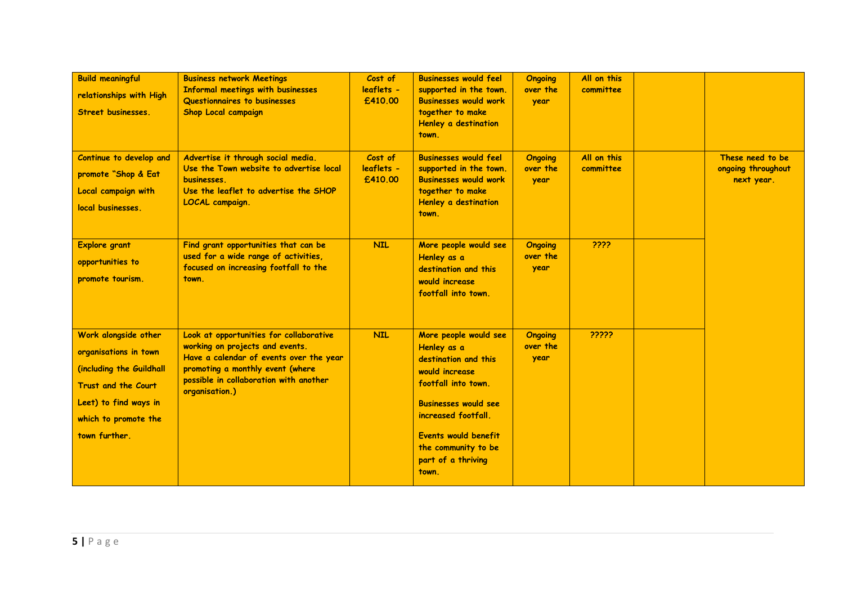| <b>Build meaningful</b><br>relationships with High<br>Street businesses.                                                                                           | <b>Business network Meetings</b><br>Informal meetings with businesses<br>Questionnaires to businesses<br><b>Shop Local campaign</b>                                                                                   | Cost of<br>leaflets -<br>£410.00 | <b>Businesses would feel</b><br>supported in the town.<br><b>Businesses would work</b><br>together to make<br>Henley a destination<br>town.                                                                                               | <b>Ongoing</b><br>over the<br>year | All on this<br>committee |                                                      |
|--------------------------------------------------------------------------------------------------------------------------------------------------------------------|-----------------------------------------------------------------------------------------------------------------------------------------------------------------------------------------------------------------------|----------------------------------|-------------------------------------------------------------------------------------------------------------------------------------------------------------------------------------------------------------------------------------------|------------------------------------|--------------------------|------------------------------------------------------|
| Continue to develop and<br>promote "Shop & Eat<br>Local campaign with<br>local businesses.                                                                         | Advertise it through social media.<br>Use the Town website to advertise local<br>businesses.<br>Use the leaflet to advertise the SHOP<br><b>LOCAL</b> campaign.                                                       | Cost of<br>leaflets -<br>£410.00 | <b>Businesses would feel</b><br>supported in the town.<br><b>Businesses would work</b><br>together to make<br>Henley a destination<br>town.                                                                                               | <b>Ongoing</b><br>over the<br>year | All on this<br>committee | These need to be<br>ongoing throughout<br>next year. |
| <b>Explore grant</b><br>opportunities to<br>promote tourism.                                                                                                       | Find grant opportunities that can be<br>used for a wide range of activities,<br>focused on increasing footfall to the<br>town.                                                                                        | <b>NIL</b>                       | More people would see<br>Henley as a<br>destination and this<br>would increase<br>footfall into town.                                                                                                                                     | <b>Ongoing</b><br>over the<br>year | ????                     |                                                      |
| Work alongside other<br>organisations in town<br>(including the Guildhall<br>Trust and the Court<br>Leet) to find ways in<br>which to promote the<br>town further. | Look at opportunities for collaborative<br>working on projects and events.<br>Have a calendar of events over the year<br>promoting a monthly event (where<br>possible in collaboration with another<br>organisation.) | <b>NIL</b>                       | More people would see<br>Henley as a<br>destination and this<br>would increase<br>footfall into town.<br><b>Businesses would see</b><br>increased footfall.<br>Events would benefit<br>the community to be<br>part of a thriving<br>town. | <b>Ongoing</b><br>over the<br>year | ?????                    |                                                      |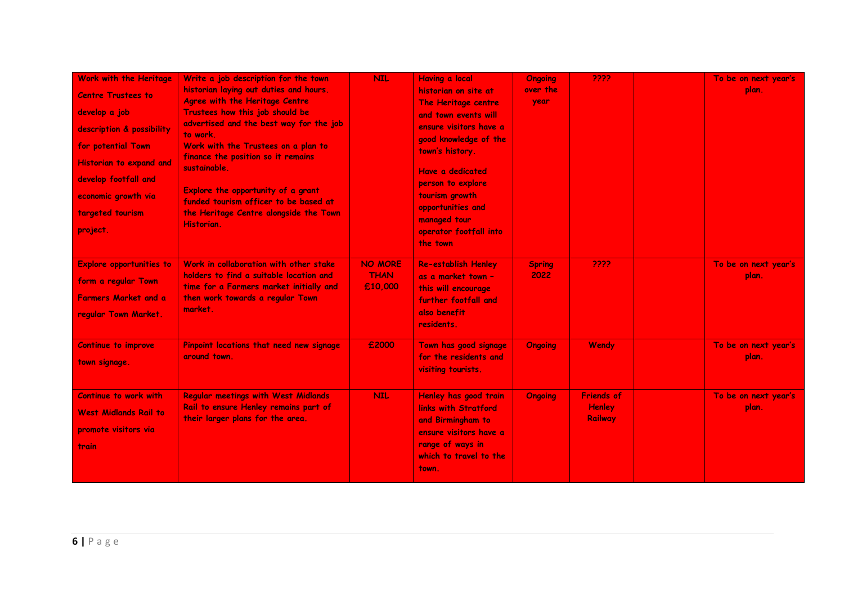| Work with the Heritage<br><b>Centre Trustees to</b><br>develop a job<br>description & possibility<br>for potential Town<br><b>Historian to expand and</b><br>develop footfall and<br>economic growth via<br>targeted tourism<br>project. | Write a job description for the town<br>historian laying out duties and hours.<br>Agree with the Heritage Centre<br>Trustees how this job should be<br>advertised and the best way for the job<br>to work.<br>Work with the Trustees on a plan to<br>finance the position so it remains<br>sustainable.<br>Explore the opportunity of a grant<br>funded tourism officer to be based at<br>the Heritage Centre alongside the Town<br>Historian. | <b>NIL</b>                               | <b>Having a local</b><br>historian on site at<br>The Heritage centre<br>and town events will<br>ensure visitors have a<br>good knowledge of the<br>town's history.<br>Have a dedicated<br>person to explore<br>tourism growth<br>opportunities and<br>managed tour<br>operator footfall into<br>the town | <b>Ongoing</b><br>over the<br>year | 2222                                          | To be on next year's<br>plan. |
|------------------------------------------------------------------------------------------------------------------------------------------------------------------------------------------------------------------------------------------|------------------------------------------------------------------------------------------------------------------------------------------------------------------------------------------------------------------------------------------------------------------------------------------------------------------------------------------------------------------------------------------------------------------------------------------------|------------------------------------------|----------------------------------------------------------------------------------------------------------------------------------------------------------------------------------------------------------------------------------------------------------------------------------------------------------|------------------------------------|-----------------------------------------------|-------------------------------|
| <b>Explore opportunities to</b><br>form a regular Town<br><b>Farmers Market and a</b><br>regular Town Market.                                                                                                                            | Work in collaboration with other stake<br>holders to find a suitable location and<br>time for a Farmers market initially and<br>then work towards a regular Town<br>market.                                                                                                                                                                                                                                                                    | <b>NO MORE</b><br><b>THAN</b><br>£10,000 | <b>Re-establish Henley</b><br>as a market town -<br>this will encourage<br>further footfall and<br>also benefit<br>residents.                                                                                                                                                                            | <b>Spring</b><br>2022              | 2222                                          | To be on next year's<br>plan. |
| <b>Continue to improve</b><br>town signage.                                                                                                                                                                                              | Pinpoint locations that need new signage<br>around town.                                                                                                                                                                                                                                                                                                                                                                                       | £2000                                    | Town has good signage<br>for the residents and<br>visiting tourists.                                                                                                                                                                                                                                     | <b>Ongoing</b>                     | Wendy                                         | To be on next year's<br>plan. |
| Continue to work with<br><b>West Midlands Rail to</b><br>promote visitors via<br>train                                                                                                                                                   | <b>Regular meetings with West Midlands</b><br>Rail to ensure Henley remains part of<br>their larger plans for the area.                                                                                                                                                                                                                                                                                                                        | <b>NIL</b>                               | Henley has good train<br>links with Stratford<br>and Birmingham to<br>ensure visitors have a<br>range of ways in<br>which to travel to the<br>town.                                                                                                                                                      | <b>Ongoing</b>                     | <b>Friends of</b><br><b>Henley</b><br>Railway | To be on next year's<br>plan. |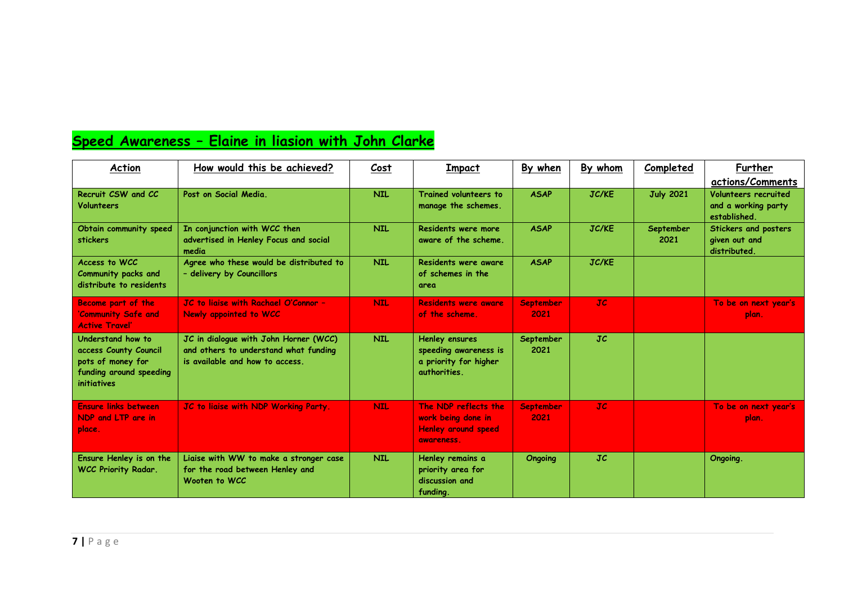# **Speed Awareness – Elaine in liasion with John Clarke**

| Action                                                                                                           | How would this be achieved?                                                                                       | Cost       | <b>Impact</b>                                                                           | By when                  | By whom        | Completed         | Further<br>actions/Comments                                 |
|------------------------------------------------------------------------------------------------------------------|-------------------------------------------------------------------------------------------------------------------|------------|-----------------------------------------------------------------------------------------|--------------------------|----------------|-------------------|-------------------------------------------------------------|
| Recruit CSW and CC<br>Volunteers                                                                                 | Post on Social Media.                                                                                             | <b>NIL</b> | Trained volunteers to<br>manage the schemes.                                            | <b>ASAP</b>              | <b>JC/KE</b>   | <b>July 2021</b>  | Volunteers recruited<br>and a working party<br>established. |
| Obtain community speed<br>stickers                                                                               | In conjunction with WCC then<br>advertised in Henley Focus and social<br>media                                    | <b>NIL</b> | Residents were more<br>aware of the scheme.                                             | <b>ASAP</b>              | <b>JC/KE</b>   | September<br>2021 | Stickers and posters<br>given out and<br>distributed.       |
| Access to WCC<br>Community packs and<br>distribute to residents                                                  | Agree who these would be distributed to<br>- delivery by Councillors                                              | <b>NIL</b> | Residents were aware<br>of schemes in the<br>area                                       | <b>ASAP</b>              | <b>JC/KE</b>   |                   |                                                             |
| <b>Become part of the</b><br>'Community Safe and<br><b>Active Travel'</b>                                        | JC to ligise with Rachael O'Connor -<br>Newly appointed to WCC                                                    | <b>NIL</b> | <b>Residents were aware</b><br>of the scheme.                                           | <b>September</b><br>2021 | JC             |                   | To be on next year's<br>plan.                               |
| Understand how to<br>access County Council<br>pots of money for<br>funding around speeding<br><i>initiatives</i> | JC in dialogue with John Horner (WCC)<br>and others to understand what funding<br>is available and how to access. | <b>NIL</b> | <b>Henley ensures</b><br>speeding awareness is<br>a priority for higher<br>authorities. | September<br>2021        | JC             |                   |                                                             |
| <b>Ensure links between</b><br>NDP and LTP are in<br>place.                                                      | JC to liaise with NDP Working Party.                                                                              | <b>NIL</b> | The NDP reflects the<br>work being done in<br><b>Henley around speed</b><br>awareness.  | <b>September</b><br>2021 | JC             |                   | To be on next year's<br>plan.                               |
| Ensure Henley is on the<br><b>WCC Priority Radar.</b>                                                            | Liaise with WW to make a stronger case<br>for the road between Henley and<br>Wooten to WCC                        | <b>NIL</b> | Henley remains a<br>priority area for<br>discussion and<br>fundina.                     | <b>Ongoing</b>           | $J\mathcal{C}$ |                   | Ongoing.                                                    |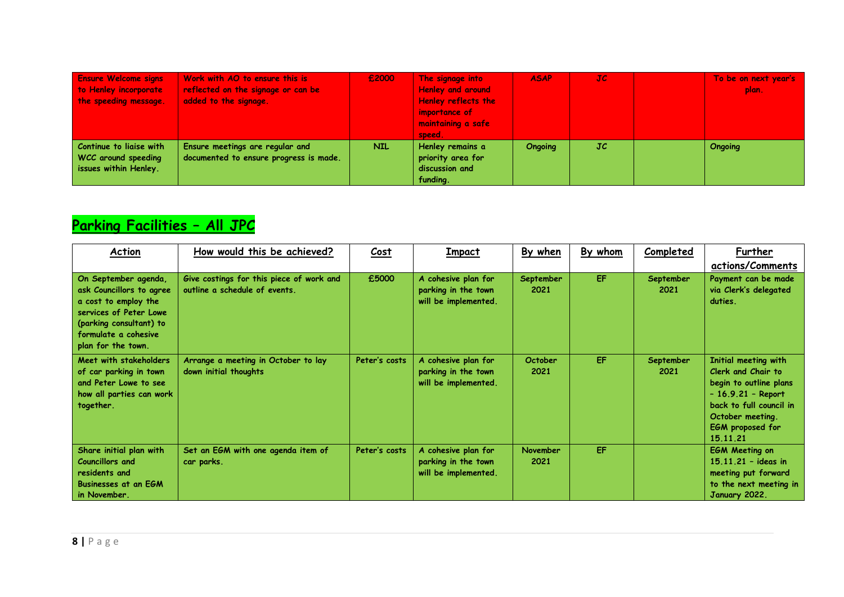| <b>Ensure Welcome signs</b> | Work with AO to ensure this is         | £2000 | The signage into           | <b>ASAP</b> | JC. | To be on next year's |
|-----------------------------|----------------------------------------|-------|----------------------------|-------------|-----|----------------------|
| to Henley incorporate       | reflected on the signage or can be     |       | <b>Henley and around</b>   |             |     | plan.                |
| the speeding message.       | added to the signage.                  |       | <b>Henley reflects the</b> |             |     |                      |
|                             |                                        |       | importance of              |             |     |                      |
|                             |                                        |       | maintaining a safe         |             |     |                      |
|                             |                                        |       | speed.                     |             |     |                      |
| Continue to liaise with     | Ensure meetings are regular and        | NIL.  | Henley remains a           | Ongoing     | JC  | <b>Ongoing</b>       |
| WCC around speeding         | documented to ensure progress is made. |       | priority area for          |             |     |                      |
| issues within Henley.       |                                        |       | discussion and             |             |     |                      |
|                             |                                        |       | funding.                   |             |     |                      |

# **Parking Facilities – All JPC**

| Action                                                                                                                                                                      | How would this be achieved?                                               | Cost          | Impact                                                             | By when                | By whom | Completed         | Further                                                                                                                                                                    |
|-----------------------------------------------------------------------------------------------------------------------------------------------------------------------------|---------------------------------------------------------------------------|---------------|--------------------------------------------------------------------|------------------------|---------|-------------------|----------------------------------------------------------------------------------------------------------------------------------------------------------------------------|
|                                                                                                                                                                             |                                                                           |               |                                                                    |                        |         |                   | actions/Comments                                                                                                                                                           |
| On September agenda,<br>ask Councillors to agree<br>a cost to employ the<br>services of Peter Lowe<br>(parking consultant) to<br>formulate a cohesive<br>plan for the town. | Give costings for this piece of work and<br>outline a schedule of events. | £5000         | A cohesive plan for<br>parking in the town<br>will be implemented. | September<br>2021      | EF.     | September<br>2021 | Payment can be made<br>via Clerk's delegated<br>duties.                                                                                                                    |
| Meet with stakeholders<br>of car parking in town<br>and Peter Lowe to see<br>how all parties can work<br>together.                                                          | Arrange a meeting in October to lay<br>down initial thoughts              | Peter's costs | A cohesive plan for<br>parking in the town<br>will be implemented. | <b>October</b><br>2021 | EF      | September<br>2021 | Initial meeting with<br>Clerk and Chair to<br>begin to outline plans<br>$-16.9.21 - Report$<br>back to full council in<br>October meeting.<br>EGM proposed for<br>15.11.21 |
| Share initial plan with<br><b>Councillors and</b><br>residents and<br><b>Businesses at an EGM</b><br>in November.                                                           | Set an EGM with one agenda item of<br>car parks.                          | Peter's costs | A cohesive plan for<br>parking in the town<br>will be implemented. | November<br>2021       | EF      |                   | <b>EGM Meeting on</b><br>$15.11.21 - ideas in$<br>meeting put forward<br>to the next meeting in<br>January 2022.                                                           |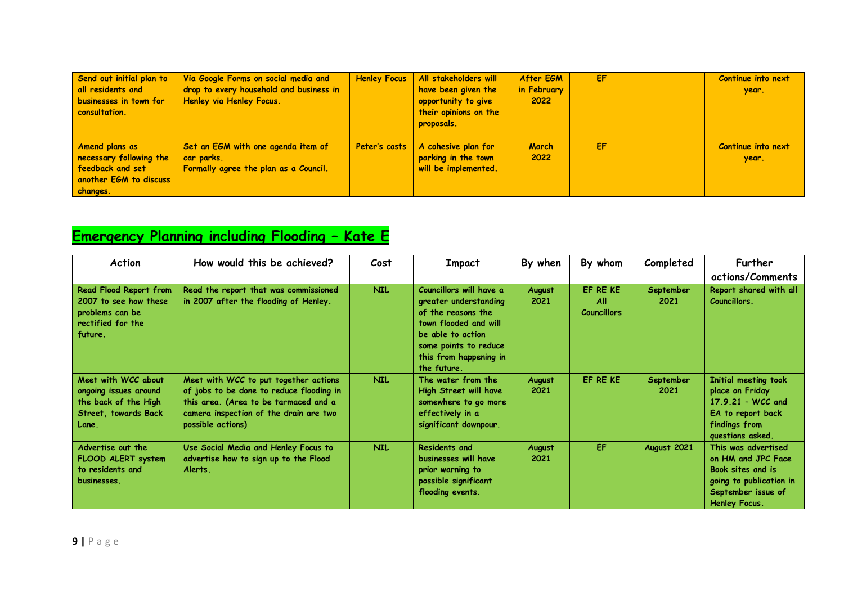| Send out initial plan to<br>all residents and<br>businesses in town for<br>consultation.            | Via Google Forms on social media and<br>drop to every household and business in<br>Henley via Henley Focus. | <b>Henley Focus</b> | All stakeholders will<br>have been given the<br>opportunity to give<br>their opinions on the<br>proposals. | After EGM<br>in February<br>2022 | EF | Continue into next<br>year. |
|-----------------------------------------------------------------------------------------------------|-------------------------------------------------------------------------------------------------------------|---------------------|------------------------------------------------------------------------------------------------------------|----------------------------------|----|-----------------------------|
| Amend plans as<br>necessary following the<br>feedback and set<br>another EGM to discuss<br>changes. | Set an EGM with one agenda item of<br>car parks.<br>Formally agree the plan as a Council.                   | Peter's costs       | A cohesive plan for<br>parking in the town<br>will be implemented.                                         | <b>March</b><br>2022             | EF | Continue into next<br>year. |

# **Emergency Planning including Flooding – Kate E**

| Action                                                                                                | How would this be achieved?                                                                                                                                                               | Cost       | <b>Impact</b>                                                                                                                                                                          | By when        | By whom                                      | <b>Completed</b>  | Further<br>actions/Comments                                                                                                      |
|-------------------------------------------------------------------------------------------------------|-------------------------------------------------------------------------------------------------------------------------------------------------------------------------------------------|------------|----------------------------------------------------------------------------------------------------------------------------------------------------------------------------------------|----------------|----------------------------------------------|-------------------|----------------------------------------------------------------------------------------------------------------------------------|
| Read Flood Report from<br>2007 to see how these<br>problems can be<br>rectified for the<br>future.    | Read the report that was commissioned<br>in 2007 after the flooding of Henley.                                                                                                            | <b>NIL</b> | Councillors will have a<br>greater understanding<br>of the reasons the<br>town flooded and will<br>be able to action<br>some points to reduce<br>this from happening in<br>the future. | August<br>2021 | EF RE KE<br><b>All</b><br><b>Councillors</b> | September<br>2021 | Report shared with all<br>Councillors.                                                                                           |
| Meet with WCC about<br>ongoing issues around<br>the back of the High<br>Street, towards Back<br>Lane. | Meet with WCC to put together actions<br>of jobs to be done to reduce flooding in<br>this area. (Area to be tarmaced and a<br>camera inspection of the drain are two<br>possible actions) | <b>NIL</b> | The water from the<br>High Street will have<br>somewhere to go more<br>effectively in a<br>significant downpour.                                                                       | August<br>2021 | EF RE KE                                     | September<br>2021 | Initial meeting took<br>place on Friday<br>$17.9.21 - WCC$ and<br>EA to report back<br>findings from<br>questions asked.         |
| Advertise out the<br>FLOOD ALERT system<br>to residents and<br>businesses.                            | Use Social Media and Henley Focus to<br>advertise how to sign up to the Flood<br>Alerts.                                                                                                  | <b>NIL</b> | <b>Residents and</b><br>businesses will have<br>prior warning to<br>possible significant<br>flooding events.                                                                           | August<br>2021 | <b>EF</b>                                    | August 2021       | This was advertised<br>on HM and JPC Face<br>Book sites and is<br>going to publication in<br>September issue of<br>Henley Focus. |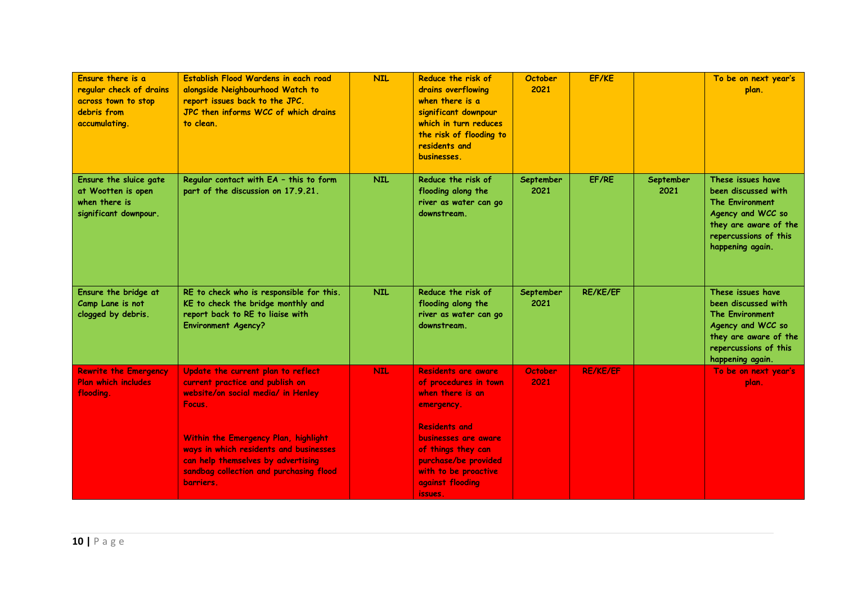| Ensure there is a<br>regular check of drains<br>across town to stop<br>debris from<br>accumulating. | Establish Flood Wardens in each road<br>alongside Neighbourhood Watch to<br>report issues back to the JPC.<br>JPC then informs WCC of which drains<br>to clean.                                                                                                                                       | <b>NIL</b> | Reduce the risk of<br>drains overflowing<br>when there is a<br>significant downpour<br>which in turn reduces<br>the risk of flooding to<br>residents and<br>businesses.                                                                           | <b>October</b><br>2021 | EF/KE           |                   | To be on next year's<br>plan.                                                                                                                                 |
|-----------------------------------------------------------------------------------------------------|-------------------------------------------------------------------------------------------------------------------------------------------------------------------------------------------------------------------------------------------------------------------------------------------------------|------------|---------------------------------------------------------------------------------------------------------------------------------------------------------------------------------------------------------------------------------------------------|------------------------|-----------------|-------------------|---------------------------------------------------------------------------------------------------------------------------------------------------------------|
| Ensure the sluice gate<br>at Wootten is open<br>when there is<br>significant downpour.              | Regular contact with EA - this to form<br>part of the discussion on 17.9.21.                                                                                                                                                                                                                          | <b>NIL</b> | Reduce the risk of<br>flooding along the<br>river as water can go<br>downstream.                                                                                                                                                                  | September<br>2021      | EF/RE           | September<br>2021 | These issues have<br>been discussed with<br><b>The Environment</b><br>Agency and WCC so<br>they are aware of the<br>repercussions of this<br>happening again. |
| Ensure the bridge at<br>Camp Lane is not<br>clogged by debris.                                      | RE to check who is responsible for this.<br>KE to check the bridge monthly and<br>report back to RE to liaise with<br><b>Environment Agency?</b>                                                                                                                                                      | <b>NIL</b> | Reduce the risk of<br>flooding along the<br>river as water can go<br>downstream.                                                                                                                                                                  | September<br>2021      | <b>RE/KE/EF</b> |                   | These issues have<br>been discussed with<br><b>The Environment</b><br>Agency and WCC so<br>they are aware of the<br>repercussions of this<br>happening again. |
| <b>Rewrite the Emergency</b><br><b>Plan which includes</b><br>flooding.                             | Update the current plan to reflect<br>current practice and publish on<br>website/on social media/ in Henley<br>Focus.<br>Within the Emergency Plan, highlight<br>ways in which residents and businesses<br>can help themselves by advertising<br>sandbag collection and purchasing flood<br>barriers. | <b>NIL</b> | <b>Residents are aware</b><br>of procedures in town<br>when there is an<br>emergency.<br><b>Residents and</b><br><b>businesses are aware</b><br>of things they can<br>purchase/be provided<br>with to be proactive<br>against flooding<br>issues. | October<br>2021        | <b>RE/KE/EF</b> |                   | To be on next year's<br>plan.                                                                                                                                 |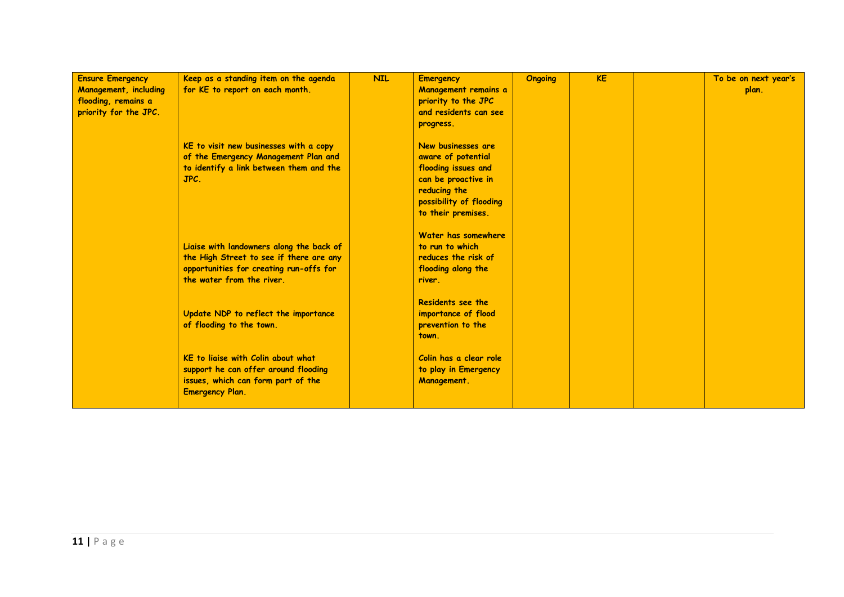| <b>Ensure Emergency</b><br><b>Management, including</b><br>flooding, remains a<br>priority for the JPC. | Keep as a standing item on the agenda<br>for KE to report on each month.                                                                                    | <b>NIL</b> | <b>Emergency</b><br>Management remains a<br>priority to the JPC<br>and residents can see<br>progress.                                                   | <b>Ongoing</b> | <b>KE</b> | To be on next year's<br>plan. |
|---------------------------------------------------------------------------------------------------------|-------------------------------------------------------------------------------------------------------------------------------------------------------------|------------|---------------------------------------------------------------------------------------------------------------------------------------------------------|----------------|-----------|-------------------------------|
|                                                                                                         | KE to visit new businesses with a copy<br>of the Emergency Management Plan and<br>to identify a link between them and the<br>JPC.                           |            | New businesses are<br>aware of potential<br>flooding issues and<br>can be proactive in<br>reducing the<br>possibility of flooding<br>to their premises. |                |           |                               |
|                                                                                                         | Liaise with landowners along the back of<br>the High Street to see if there are any<br>opportunities for creating run-offs for<br>the water from the river. |            | Water has somewhere<br>to run to which<br>reduces the risk of<br>flooding along the<br>river.                                                           |                |           |                               |
|                                                                                                         | Update NDP to reflect the importance<br>of flooding to the town.                                                                                            |            | Residents see the<br>importance of flood<br>prevention to the<br>town.                                                                                  |                |           |                               |
|                                                                                                         | KE to ligise with Colin about what<br>support he can offer around flooding<br>issues, which can form part of the<br><b>Emergency Plan.</b>                  |            | Colin has a clear role<br>to play in Emergency<br>Management.                                                                                           |                |           |                               |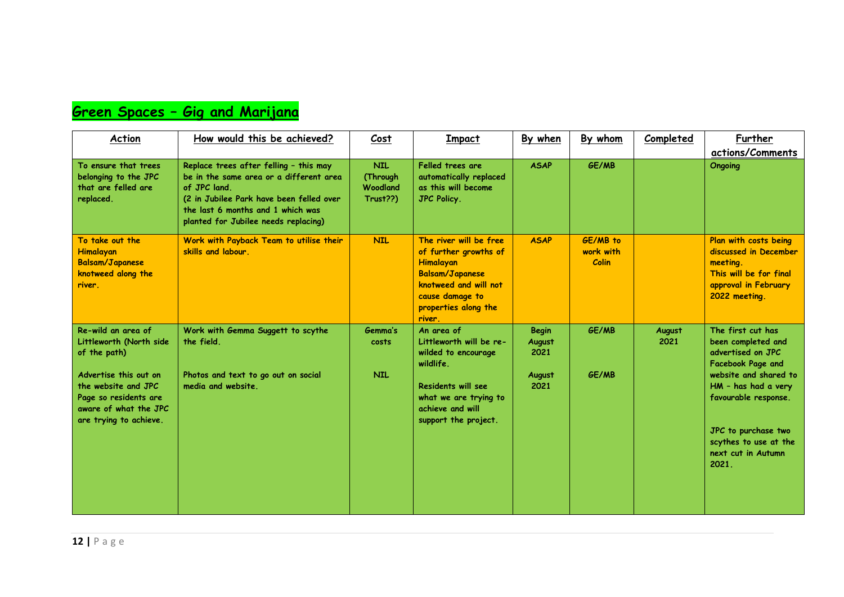# **Green Spaces – Gig and Marijana**

| Action                                                                                                                                                                                    | How would this be achieved?                                                                                                                                                                                               | Cost                                           | Impact                                                                                                                                                               | By when                                          | By whom                                      | Completed      | Further<br>actions/Comments                                                                                                                                                                                                                     |
|-------------------------------------------------------------------------------------------------------------------------------------------------------------------------------------------|---------------------------------------------------------------------------------------------------------------------------------------------------------------------------------------------------------------------------|------------------------------------------------|----------------------------------------------------------------------------------------------------------------------------------------------------------------------|--------------------------------------------------|----------------------------------------------|----------------|-------------------------------------------------------------------------------------------------------------------------------------------------------------------------------------------------------------------------------------------------|
| To ensure that trees<br>belonging to the JPC<br>that are felled are<br>replaced.                                                                                                          | Replace trees after felling - this may<br>be in the same area or a different area<br>of JPC land<br>(2 in Jubilee Park have been felled over<br>the last 6 months and 1 which was<br>planted for Jubilee needs replacing) | <b>NIL</b><br>(Through<br>Woodland<br>Trust??) | Felled trees are<br>automatically replaced<br>as this will become<br><b>JPC Policy.</b>                                                                              | <b>ASAP</b>                                      | GE/MB                                        |                | <b>Ongoing</b>                                                                                                                                                                                                                                  |
| To take out the<br>Himalayan<br><b>Balsam/Japanese</b><br>knotweed along the<br>river.                                                                                                    | Work with Payback Team to utilise their<br>skills and labour.                                                                                                                                                             | <b>NIL</b>                                     | The river will be free<br>of further growths of<br>Himalayan<br><b>Balsam/Japanese</b><br>knotweed and will not<br>cause damage to<br>properties along the<br>river. | <b>ASAP</b>                                      | <b>GE/MB</b> to<br>work with<br><b>Colin</b> |                | Plan with costs being<br>discussed in December<br>meeting.<br>This will be for final<br>approval in February<br>2022 meeting.                                                                                                                   |
| Re-wild an area of<br>Littleworth (North side<br>of the path)<br>Advertise this out on<br>the website and JPC<br>Page so residents are<br>aware of what the JPC<br>are trying to achieve. | Work with Gemma Suggett to scythe<br>the field.<br>Photos and text to go out on social<br>media and website.                                                                                                              | Gemma's<br>costs<br><b>NIL</b>                 | An area of<br>Littleworth will be re-<br>wilded to encourage<br>wildlife.<br>Residents will see<br>what we are trying to<br>achieve and will<br>support the project. | <b>Begin</b><br>August<br>2021<br>August<br>2021 | GE/MB<br>GE/MB                               | August<br>2021 | The first cut has<br>been completed and<br>advertised on JPC<br><b>Facebook Page and</b><br>website and shared to<br>HM - has had a very<br>favourable response.<br>JPC to purchase two<br>scythes to use at the<br>next cut in Autumn<br>2021. |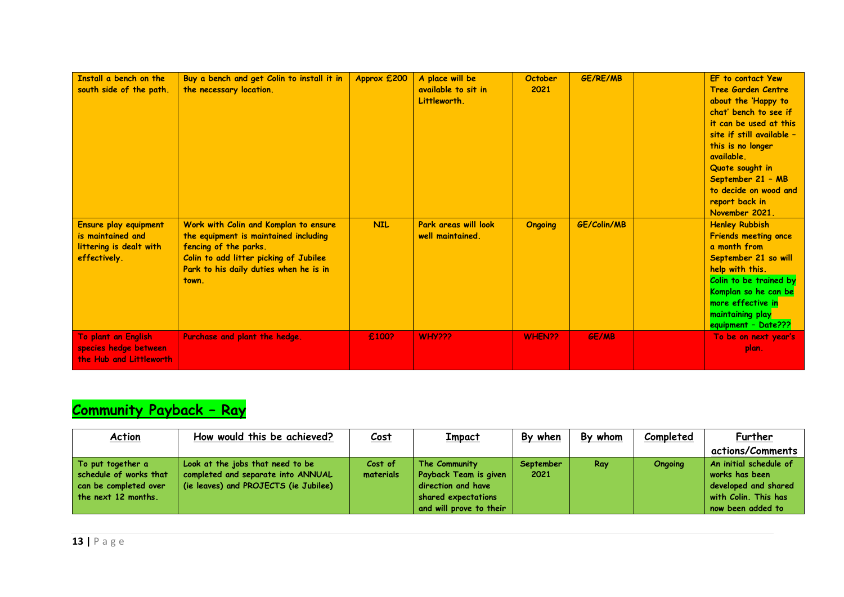| Install a bench on the<br>south side of the path.                                     | Buy a bench and get Colin to install it in<br>the necessary location.                                                                                                                                | Approx £200 | A place will be<br>available to sit in<br>Littleworth. | <b>October</b><br>2021 | GE/RE/MB     | EF to contact Yew<br><b>Tree Garden Centre</b><br>about the 'Happy to<br>chat' bench to see if<br>it can be used at this<br>site if still available -<br>this is no longer<br>available.<br>Quote sought in<br>September 21 - MB<br>to decide on wood and<br>report back in<br>November 2021. |
|---------------------------------------------------------------------------------------|------------------------------------------------------------------------------------------------------------------------------------------------------------------------------------------------------|-------------|--------------------------------------------------------|------------------------|--------------|-----------------------------------------------------------------------------------------------------------------------------------------------------------------------------------------------------------------------------------------------------------------------------------------------|
| Ensure play equipment<br>is maintained and<br>littering is dealt with<br>effectively. | Work with Colin and Komplan to ensure<br>the equipment is maintained including<br>fencing of the parks.<br>Colin to add litter picking of Jubilee<br>Park to his daily duties when he is in<br>town. | <b>NIL</b>  | Park areas will look<br>well maintained.               | <b>Ongoing</b>         | GE/Colin/MB  | <b>Henley Rubbish</b><br><b>Friends meeting once</b><br>a month from<br>September 21 so will<br>help with this.<br>Colin to be trained by<br>Komplan so he can be<br>more effective in<br>maintaining play<br>equipment - Date???                                                             |
| To plant an English<br>species hedge between<br>the Hub and Littleworth               | Purchase and plant the hedge.                                                                                                                                                                        | £100?       | <b>WHY???</b>                                          | WHEN??                 | <b>GE/MB</b> | To be on next year's<br>plan.                                                                                                                                                                                                                                                                 |

# **Community Payback – Ray**

| <b>Action</b>                                                                                 | How would this be achieved?                                                                                     | <u>Cost</u>          | <u>Impact</u>                                                                                                  | By when           | By whom | Completed | Further                                                                                                       |
|-----------------------------------------------------------------------------------------------|-----------------------------------------------------------------------------------------------------------------|----------------------|----------------------------------------------------------------------------------------------------------------|-------------------|---------|-----------|---------------------------------------------------------------------------------------------------------------|
|                                                                                               |                                                                                                                 |                      |                                                                                                                |                   |         |           | actions/Comments                                                                                              |
| To put together a<br>schedule of works that<br>can be completed over<br>the next $12$ months. | Look at the jobs that need to be<br>completed and separate into ANNUAL<br>(ie leaves) and PROJECTS (ie Jubilee) | Cost of<br>materials | The Community<br>Payback Team is given<br>direction and have<br>shared expectations<br>and will prove to their | September<br>2021 | Ray     | Ongoing   | An initial schedule of<br>works has been<br>developed and shared<br>with Colin. This has<br>now been added to |